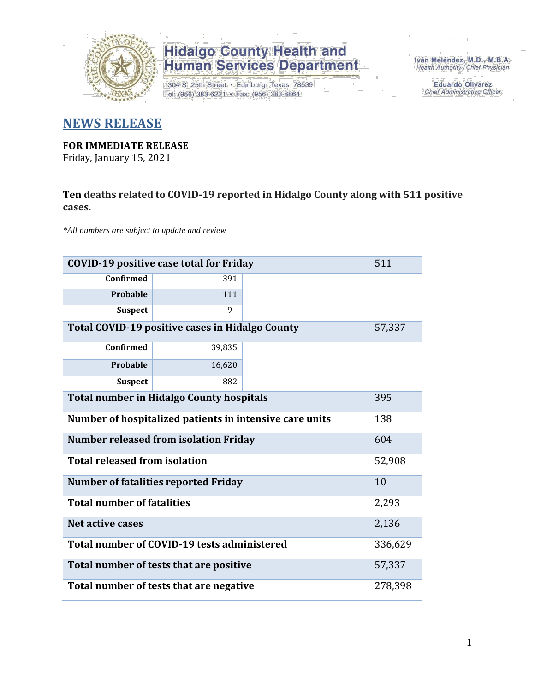

1304 S. 25th Street · Edinburg, Texas 78539 Tel: (956) 383-6221 · Fax: (956) 383-8864

Iván Meléndez, M.D., M.B.A. Health Authority / Chief Physician

> **Eduardo Olivarez** Chief Administrative Officer

### **NEWS RELEASE**

### **FOR IMMEDIATE RELEASE**

Friday, January 15, 2021

#### **Ten deaths related to COVID-19 reported in Hidalgo County along with 511 positive cases.**

*\*All numbers are subject to update and review*

| 511<br><b>COVID-19 positive case total for Friday</b>     |                                             |         |       |  |  |  |  |  |  |
|-----------------------------------------------------------|---------------------------------------------|---------|-------|--|--|--|--|--|--|
| <b>Confirmed</b>                                          | 391                                         |         |       |  |  |  |  |  |  |
| Probable                                                  | 111                                         |         |       |  |  |  |  |  |  |
| <b>Suspect</b>                                            | 9                                           |         |       |  |  |  |  |  |  |
| Total COVID-19 positive cases in Hidalgo County<br>57,337 |                                             |         |       |  |  |  |  |  |  |
| <b>Confirmed</b>                                          | 39,835                                      |         |       |  |  |  |  |  |  |
| Probable                                                  | 16,620                                      |         |       |  |  |  |  |  |  |
| <b>Suspect</b>                                            | 882                                         |         |       |  |  |  |  |  |  |
| <b>Total number in Hidalgo County hospitals</b>           |                                             |         |       |  |  |  |  |  |  |
| Number of hospitalized patients in intensive care units   | 138                                         |         |       |  |  |  |  |  |  |
| <b>Number released from isolation Friday</b>              |                                             |         |       |  |  |  |  |  |  |
| <b>Total released from isolation</b>                      |                                             | 52,908  |       |  |  |  |  |  |  |
|                                                           | <b>Number of fatalities reported Friday</b> |         | 10    |  |  |  |  |  |  |
| <b>Total number of fatalities</b>                         |                                             |         | 2,293 |  |  |  |  |  |  |
| <b>Net active cases</b>                                   |                                             |         | 2,136 |  |  |  |  |  |  |
| Total number of COVID-19 tests administered               |                                             | 336,629 |       |  |  |  |  |  |  |
| Total number of tests that are positive                   |                                             |         |       |  |  |  |  |  |  |
| Total number of tests that are negative                   |                                             |         |       |  |  |  |  |  |  |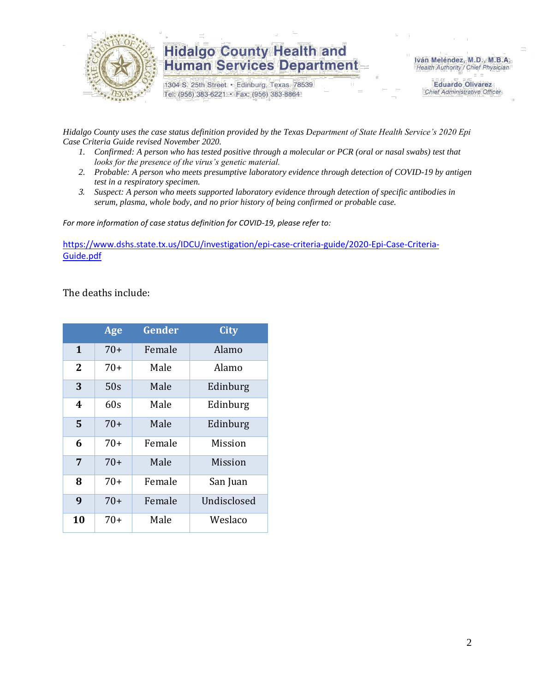

1304 S. 25th Street · Edinburg, Texas 78539 Tel: (956) 383-6221 · Fax: (956) 383-8864

Iván Meléndez, M.D., M.B.A. Health Authority / Chief Physician

> **Eduardo Olivarez** Chief Administrative Officer

*Hidalgo County uses the case status definition provided by the Texas Department of State Health Service's 2020 Epi Case Criteria Guide revised November 2020.*

- *1. Confirmed: A person who has tested positive through a molecular or PCR (oral or nasal swabs) test that looks for the presence of the virus's genetic material.*
- *2. Probable: A person who meets presumptive laboratory evidence through detection of COVID-19 by antigen test in a respiratory specimen.*
- *3. Suspect: A person who meets supported laboratory evidence through detection of specific antibodies in serum, plasma, whole body, and no prior history of being confirmed or probable case.*

*For more information of case status definition for COVID-19, please refer to:*

[https://www.dshs.state.tx.us/IDCU/investigation/epi-case-criteria-guide/2020-Epi-Case-Criteria-](https://www.dshs.state.tx.us/IDCU/investigation/epi-case-criteria-guide/2020-Epi-Case-Criteria-Guide.pdf)[Guide.pdf](https://www.dshs.state.tx.us/IDCU/investigation/epi-case-criteria-guide/2020-Epi-Case-Criteria-Guide.pdf)

The deaths include:

|    | Age   | Gender | <b>City</b> |
|----|-------|--------|-------------|
| 1  | $70+$ | Female | Alamo       |
| 2  | $70+$ | Male   | Alamo       |
| 3  | 50s   | Male   | Edinburg    |
| 4  | 60s   | Male   | Edinburg    |
| 5  | $70+$ | Male   | Edinburg    |
| 6  | $70+$ | Female | Mission     |
| 7  | $70+$ | Male   | Mission     |
| 8  | $70+$ | Female | San Juan    |
| 9  | $70+$ | Female | Undisclosed |
| 10 | 70+   | Male   | Weslaco     |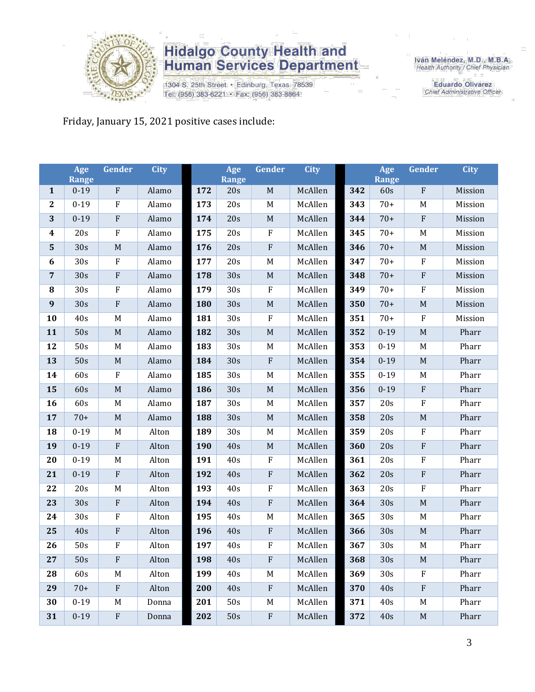

1304 S. 25th Street · Edinburg, Texas 78539 Tel: (956) 383-6221 · Fax: (956) 383-8864

Iván Meléndez, M.D., M.B.A.<br>Health Authority / Chief Physician

**Eduardo Olivarez** Chief Administrative Officer

Friday, January 15, 2021 positive cases include:

|                  | Age<br><b>Range</b> | Gender                    | <b>City</b> |     | Age<br><b>Range</b> | Gender                    | <b>City</b> |     | Age<br><b>Range</b> | Gender                    | <b>City</b> |
|------------------|---------------------|---------------------------|-------------|-----|---------------------|---------------------------|-------------|-----|---------------------|---------------------------|-------------|
| $\mathbf{1}$     | $0 - 19$            | ${\bf F}$                 | Alamo       | 172 | 20s                 | $\mathbf M$               | McAllen     | 342 | 60s                 | ${\bf F}$                 | Mission     |
| $\mathbf{2}$     | $0 - 19$            | ${\bf F}$                 | Alamo       | 173 | 20s                 | $\mathbf M$               | McAllen     | 343 | $70+$               | M                         | Mission     |
| 3                | $0 - 19$            | ${\bf F}$                 | Alamo       | 174 | 20s                 | $\mathbf M$               | McAllen     | 344 | $70+$               | ${\bf F}$                 | Mission     |
| $\boldsymbol{4}$ | 20s                 | $\rm F$                   | Alamo       | 175 | 20s                 | ${\bf F}$                 | McAllen     | 345 | $70+$               | M                         | Mission     |
| $\mathbf{5}$     | 30s                 | $\mathbf M$               | Alamo       | 176 | 20s                 | $\boldsymbol{\mathrm{F}}$ | McAllen     | 346 | $70+$               | M                         | Mission     |
| 6                | 30s                 | $\rm F$                   | Alamo       | 177 | 20s                 | $\mathbf M$               | McAllen     | 347 | $70+$               | $\rm F$                   | Mission     |
| $\overline{7}$   | 30s                 | ${\bf F}$                 | Alamo       | 178 | 30s                 | $\mathbf M$               | McAllen     | 348 | $70+$               | ${\bf F}$                 | Mission     |
| 8                | 30s                 | ${\bf F}$                 | Alamo       | 179 | 30s                 | ${\bf F}$                 | McAllen     | 349 | $70+$               | ${\bf F}$                 | Mission     |
| 9                | 30s                 | ${\bf F}$                 | Alamo       | 180 | 30s                 | $\mathbf M$               | McAllen     | 350 | $70+$               | $\mathbf M$               | Mission     |
| 10               | 40s                 | $\mathbf M$               | Alamo       | 181 | 30s                 | $\rm F$                   | McAllen     | 351 | $70+$               | ${\bf F}$                 | Mission     |
| 11               | 50s                 | $\mathbf M$               | Alamo       | 182 | 30s                 | $\mathbf M$               | McAllen     | 352 | $0 - 19$            | M                         | Pharr       |
| 12               | 50s                 | M                         | Alamo       | 183 | 30s                 | M                         | McAllen     | 353 | $0 - 19$            | M                         | Pharr       |
| 13               | 50s                 | $\mathbf M$               | Alamo       | 184 | 30s                 | ${\bf F}$                 | McAllen     | 354 | $0 - 19$            | $\mathbf M$               | Pharr       |
| 14               | 60s                 | $\rm F$                   | Alamo       | 185 | 30s                 | M                         | McAllen     | 355 | $0 - 19$            | M                         | Pharr       |
| 15               | 60s                 | $\mathbf M$               | Alamo       | 186 | 30s                 | $\mathbf M$               | McAllen     | 356 | $0 - 19$            | ${\bf F}$                 | Pharr       |
| 16               | 60s                 | M                         | Alamo       | 187 | 30s                 | $\mathbf M$               | McAllen     | 357 | 20s                 | ${\bf F}$                 | Pharr       |
| 17               | $70+$               | M                         | Alamo       | 188 | 30s                 | $\mathbf M$               | McAllen     | 358 | 20s                 | $\mathbf M$               | Pharr       |
| 18               | $0 - 19$            | M                         | Alton       | 189 | 30s                 | M                         | McAllen     | 359 | 20s                 | F                         | Pharr       |
| 19               | $0 - 19$            | ${\bf F}$                 | Alton       | 190 | 40s                 | $\mathbf M$               | McAllen     | 360 | 20s                 | ${\bf F}$                 | Pharr       |
| 20               | $0 - 19$            | M                         | Alton       | 191 | 40s                 | $\rm F$                   | McAllen     | 361 | 20s                 | ${\bf F}$                 | Pharr       |
| 21               | $0 - 19$            | ${\bf F}$                 | Alton       | 192 | 40s                 | ${\bf F}$                 | McAllen     | 362 | 20s                 | ${\bf F}$                 | Pharr       |
| 22               | 20s                 | M                         | Alton       | 193 | 40s                 | $\rm F$                   | McAllen     | 363 | 20s                 | ${\bf F}$                 | Pharr       |
| 23               | 30s                 | ${\bf F}$                 | Alton       | 194 | 40s                 | ${\bf F}$                 | McAllen     | 364 | 30s                 | $\mathbf M$               | Pharr       |
| 24               | 30s                 | ${\bf F}$                 | Alton       | 195 | 40s                 | M                         | McAllen     | 365 | 30s                 | M                         | Pharr       |
| 25               | 40s                 | $\boldsymbol{\mathrm{F}}$ | Alton       | 196 | 40s                 | ${\bf F}$                 | McAllen     | 366 | 30s                 | $\mathbf M$               | Pharr       |
| 26               | 50s                 | ${\bf F}$                 | Alton       | 197 | $40s$               | $\rm F$                   | McAllen     | 367 | 30s                 | M                         | Pharr       |
| 27               | 50s                 | ${\bf F}$                 | Alton       | 198 | 40s                 | $\rm F$                   | McAllen     | 368 | 30s                 | M                         | Pharr       |
| 28               | 60s                 | M                         | Alton       | 199 | 40s                 | M                         | McAllen     | 369 | 30s                 | $\boldsymbol{\mathrm{F}}$ | Pharr       |
| 29               | $70+$               | ${\bf F}$                 | Alton       | 200 | 40s                 | $\rm F$                   | McAllen     | 370 | 40s                 | F                         | Pharr       |
| 30               | $0 - 19$            | M                         | Donna       | 201 | 50s                 | $\mathbf M$               | McAllen     | 371 | 40s                 | M                         | Pharr       |
| 31               | $0 - 19$            | $\boldsymbol{\mathrm{F}}$ | Donna       | 202 | 50s                 | $\mathbf F$               | McAllen     | 372 | 40s                 | $\mathbf M$               | Pharr       |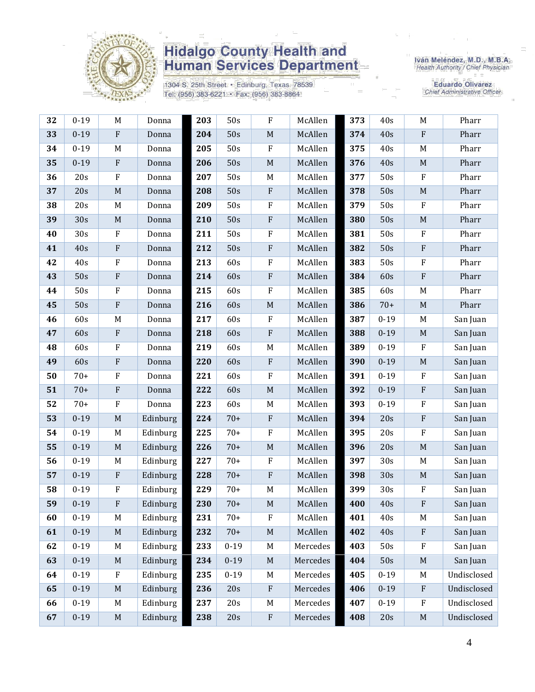

1304 S. 25th Street · Edinburg, Texas 78539 Tel: (956) 383-6221 · Fax: (956) 383-8864

Iván Meléndez, M.D., M.B.A.<br>Health Authority / Chief Physician

**Eduardo Olivarez** Chief Administrative Officer

| 32 | $0 - 19$ | M                         | Donna    | 203 | 50s      | $\rm F$                   | McAllen  | 373 | 40s      | $\mathbf M$               | Pharr       |
|----|----------|---------------------------|----------|-----|----------|---------------------------|----------|-----|----------|---------------------------|-------------|
| 33 | $0 - 19$ | $\boldsymbol{\mathrm{F}}$ | Donna    | 204 | 50s      | $\mathbf M$               | McAllen  | 374 | 40s      | $\mathbf{F}$              | Pharr       |
| 34 | $0 - 19$ | M                         | Donna    | 205 | 50s      | ${\bf F}$                 | McAllen  | 375 | 40s      | M                         | Pharr       |
| 35 | $0 - 19$ | $\rm F$                   | Donna    | 206 | 50s      | $\mathbf M$               | McAllen  | 376 | 40s      | $\mathbf M$               | Pharr       |
| 36 | 20s      | ${\bf F}$                 | Donna    | 207 | 50s      | M                         | McAllen  | 377 | 50s      | $\mathbf F$               | Pharr       |
| 37 | 20s      | $\mathbf M$               | Donna    | 208 | 50s      | ${\bf F}$                 | McAllen  | 378 | 50s      | $\mathbf M$               | Pharr       |
| 38 | 20s      | M                         | Donna    | 209 | 50s      | F                         | McAllen  | 379 | 50s      | $\mathbf{F}$              | Pharr       |
| 39 | 30s      | $\mathbf M$               | Donna    | 210 | 50s      | ${\bf F}$                 | McAllen  | 380 | 50s      | $\mathbf M$               | Pharr       |
| 40 | 30s      | ${\bf F}$                 | Donna    | 211 | 50s      | ${\bf F}$                 | McAllen  | 381 | 50s      | $\rm F$                   | Pharr       |
| 41 | 40s      | $\boldsymbol{\mathrm{F}}$ | Donna    | 212 | 50s      | $\rm F$                   | McAllen  | 382 | 50s      | $\rm F$                   | Pharr       |
| 42 | 40s      | $\rm F$                   | Donna    | 213 | 60s      | F                         | McAllen  | 383 | 50s      | $\rm F$                   | Pharr       |
| 43 | 50s      | ${\bf F}$                 | Donna    | 214 | 60s      | ${\bf F}$                 | McAllen  | 384 | 60s      | $\rm F$                   | Pharr       |
| 44 | 50s      | $\rm F$                   | Donna    | 215 | 60s      | $\boldsymbol{\mathrm{F}}$ | McAllen  | 385 | 60s      | M                         | Pharr       |
| 45 | 50s      | ${\bf F}$                 | Donna    | 216 | 60s      | $\mathbf M$               | McAllen  | 386 | $70+$    | $\mathbf M$               | Pharr       |
| 46 | 60s      | M                         | Donna    | 217 | 60s      | ${\bf F}$                 | McAllen  | 387 | $0 - 19$ | M                         | San Juan    |
| 47 | 60s      | ${\bf F}$                 | Donna    | 218 | 60s      | $\rm F$                   | McAllen  | 388 | $0 - 19$ | $\mathbf M$               | San Juan    |
| 48 | 60s      | $\rm F$                   | Donna    | 219 | 60s      | M                         | McAllen  | 389 | $0 - 19$ | $\rm F$                   | San Juan    |
| 49 | 60s      | $\rm F$                   | Donna    | 220 | 60s      | $\boldsymbol{\mathrm{F}}$ | McAllen  | 390 | $0 - 19$ | $\mathbf M$               | San Juan    |
| 50 | $70+$    | $\rm F$                   | Donna    | 221 | 60s      | ${\bf F}$                 | McAllen  | 391 | $0 - 19$ | $\rm F$                   | San Juan    |
| 51 | $70+$    | ${\bf F}$                 | Donna    | 222 | 60s      | $\mathbf M$               | McAllen  | 392 | $0 - 19$ | $\rm F$                   | San Juan    |
| 52 | $70+$    | $\mathbf F$               | Donna    | 223 | 60s      | M                         | McAllen  | 393 | $0 - 19$ | $\rm F$                   | San Juan    |
| 53 | $0 - 19$ | $\mathbf M$               | Edinburg | 224 | $70+$    | $\rm F$                   | McAllen  | 394 | 20s      | $\rm F$                   | San Juan    |
| 54 | $0 - 19$ | M                         | Edinburg | 225 | $70+$    | $\rm F$                   | McAllen  | 395 | 20s      | $\rm F$                   | San Juan    |
| 55 | $0 - 19$ | $\mathbf M$               | Edinburg | 226 | $70+$    | $\mathbf M$               | McAllen  | 396 | 20s      | $\mathbf M$               | San Juan    |
| 56 | $0 - 19$ | M                         | Edinburg | 227 | $70+$    | ${\bf F}$                 | McAllen  | 397 | 30s      | M                         | San Juan    |
| 57 | $0 - 19$ | $\boldsymbol{\mathrm{F}}$ | Edinburg | 228 | $70+$    | ${\bf F}$                 | McAllen  | 398 | 30s      | $\mathbf M$               | San Juan    |
| 58 | $0 - 19$ | $\mathbf F$               | Edinburg | 229 | $70+$    | $\mathbf M$               | McAllen  | 399 | 30s      | $\mathbf F$               | San Juan    |
| 59 | $0 - 19$ | ${\bf F}$                 | Edinburg | 230 | $70+$    | $\mathbf M$               | McAllen  | 400 | 40s      | ${\bf F}$                 | San Juan    |
| 60 | $0 - 19$ | M                         | Edinburg | 231 | $70+$    | $\mathbf F$               | McAllen  | 401 | 40s      | M                         | San Juan    |
| 61 | $0 - 19$ | $\mathbf M$               | Edinburg | 232 | $70+$    | $\mathbf M$               | McAllen  | 402 | 40s      | $\mathbf{F}$              | San Juan    |
| 62 | $0 - 19$ | M                         | Edinburg | 233 | $0 - 19$ | M                         | Mercedes | 403 | 50s      | $\rm F$                   | San Juan    |
| 63 | $0 - 19$ | M                         | Edinburg | 234 | $0 - 19$ | $\mathbf M$               | Mercedes | 404 | 50s      | $\mathbf M$               | San Juan    |
| 64 | $0 - 19$ | $\rm F$                   | Edinburg | 235 | $0 - 19$ | M                         | Mercedes | 405 | $0 - 19$ | M                         | Undisclosed |
| 65 | $0 - 19$ | $\mathbf M$               | Edinburg | 236 | 20s      | $\rm F$                   | Mercedes | 406 | $0 - 19$ | $\boldsymbol{\mathrm{F}}$ | Undisclosed |
| 66 | $0 - 19$ | M                         | Edinburg | 237 | 20s      | M                         | Mercedes | 407 | $0 - 19$ | $\rm F$                   | Undisclosed |
| 67 | $0 - 19$ | $\mathbf M$               | Edinburg | 238 | 20s      | ${\bf F}$                 | Mercedes | 408 | 20s      | $\mathbf M$               | Undisclosed |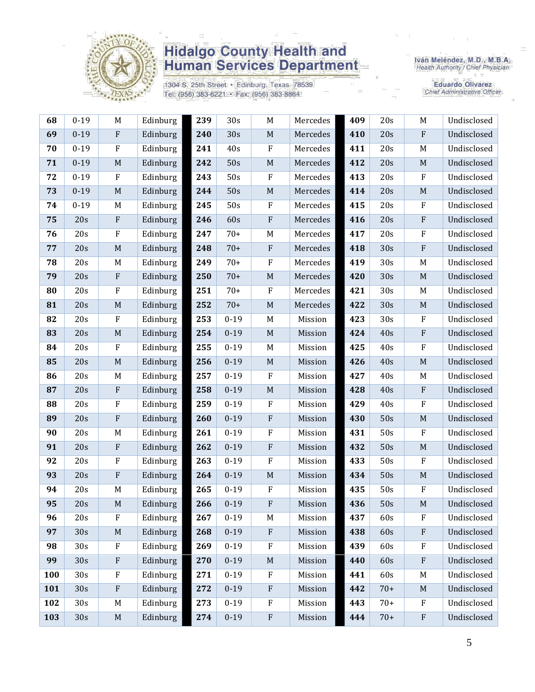

1304 S. 25th Street · Edinburg, Texas 78539 Tel: (956) 383-6221 · Fax: (956) 383-8864

Iván Meléndez, M.D., M.B.A.<br>Health Authority / Chief Physician

Eduardo Olivarez<br>Chief Administrative Officer

| 68  | $0 - 19$ | M            | Edinburg | 239 | 30s      | M                       | Mercedes | 409 | 20s   | M            | Undisclosed |
|-----|----------|--------------|----------|-----|----------|-------------------------|----------|-----|-------|--------------|-------------|
| 69  | $0 - 19$ | $\rm F$      | Edinburg | 240 | 30s      | $\mathbf M$             | Mercedes | 410 | 20s   | $\rm F$      | Undisclosed |
| 70  | $0 - 19$ | $\mathbf{F}$ | Edinburg | 241 | 40s      | $\rm F$                 | Mercedes | 411 | 20s   | M            | Undisclosed |
| 71  | $0 - 19$ | $\mathbf M$  | Edinburg | 242 | 50s      | $\mathbf M$             | Mercedes | 412 | 20s   | M            | Undisclosed |
| 72  | $0 - 19$ | $\rm F$      | Edinburg | 243 | 50s      | $\rm F$                 | Mercedes | 413 | 20s   | $\rm F$      | Undisclosed |
| 73  | $0 - 19$ | $\mathbf M$  | Edinburg | 244 | 50s      | $\mathbf M$             | Mercedes | 414 | 20s   | $\mathbf M$  | Undisclosed |
| 74  | $0 - 19$ | M            | Edinburg | 245 | 50s      | $\rm F$                 | Mercedes | 415 | 20s   | $\rm F$      | Undisclosed |
| 75  | 20s      | $\rm F$      | Edinburg | 246 | 60s      | ${\bf F}$               | Mercedes | 416 | 20s   | $\mathbf{F}$ | Undisclosed |
| 76  | 20s      | $\rm F$      | Edinburg | 247 | $70+$    | M                       | Mercedes | 417 | 20s   | $\rm F$      | Undisclosed |
| 77  | 20s      | M            | Edinburg | 248 | $70+$    | $\mathbf{F}$            | Mercedes | 418 | 30s   | $\rm F$      | Undisclosed |
| 78  | 20s      | M            | Edinburg | 249 | $70+$    | $\rm F$                 | Mercedes | 419 | 30s   | M            | Undisclosed |
| 79  | 20s      | ${\bf F}$    | Edinburg | 250 | $70+$    | $\mathbf M$             | Mercedes | 420 | 30s   | $\mathbf M$  | Undisclosed |
| 80  | 20s      | $\mathbf{F}$ | Edinburg | 251 | $70+$    | $\rm F$                 | Mercedes | 421 | 30s   | M            | Undisclosed |
| 81  | 20s      | $\mathbf M$  | Edinburg | 252 | $70+$    | $\mathbf M$             | Mercedes | 422 | 30s   | M            | Undisclosed |
| 82  | 20s      | $\rm F$      | Edinburg | 253 | $0 - 19$ | M                       | Mission  | 423 | 30s   | $\rm F$      | Undisclosed |
| 83  | 20s      | $\mathbf M$  | Edinburg | 254 | $0 - 19$ | $\mathbf M$             | Mission  | 424 | 40s   | $\rm F$      | Undisclosed |
| 84  | 20s      | $\rm F$      | Edinburg | 255 | $0 - 19$ | M                       | Mission  | 425 | 40s   | $\rm F$      | Undisclosed |
| 85  | 20s      | $\mathbf M$  | Edinburg | 256 | $0 - 19$ | $\mathbf M$             | Mission  | 426 | 40s   | M            | Undisclosed |
| 86  | 20s      | M            | Edinburg | 257 | $0 - 19$ | $\rm F$                 | Mission  | 427 | 40s   | M            | Undisclosed |
| 87  | 20s      | $\rm F$      | Edinburg | 258 | $0 - 19$ | $\mathbf M$             | Mission  | 428 | 40s   | $\rm F$      | Undisclosed |
| 88  | 20s      | $\rm F$      | Edinburg | 259 | $0 - 19$ | $\rm F$                 | Mission  | 429 | 40s   | $\rm F$      | Undisclosed |
| 89  | 20s      | ${\bf F}$    | Edinburg | 260 | $0 - 19$ | $\rm F$                 | Mission  | 430 | 50s   | $\mathbf M$  | Undisclosed |
| 90  | 20s      | M            | Edinburg | 261 | $0 - 19$ | $\rm F$                 | Mission  | 431 | 50s   | $\rm F$      | Undisclosed |
| 91  | 20s      | $\rm F$      | Edinburg | 262 | $0 - 19$ | $\rm F$                 | Mission  | 432 | 50s   | M            | Undisclosed |
| 92  | 20s      | $\mathbf{F}$ | Edinburg | 263 | $0 - 19$ | $\rm F$                 | Mission  | 433 | 50s   | $\mathbf{F}$ | Undisclosed |
| 93  | 20s      | ${\bf F}$    | Edinburg | 264 | $0 - 19$ | $\mathbf M$             | Mission  | 434 | 50s   | $\mathbf M$  | Undisclosed |
| 94  | 20s      | M            | Edinburg | 265 | $0 - 19$ | $\rm F$                 | Mission  | 435 | 50s   | $\mathbf{F}$ | Undisclosed |
| 95  | 20s      | $\mathbf M$  | Edinburg | 266 | $0 - 19$ | $\overline{\mathrm{F}}$ | Mission  | 436 | 50s   | M            | Undisclosed |
| 96  | 20s      | $\mathbf{F}$ | Edinburg | 267 | $0 - 19$ | M                       | Mission  | 437 | 60s   | F            | Undisclosed |
| 97  | 30s      | M            | Edinburg | 268 | $0 - 19$ | ${\bf F}$               | Mission  | 438 | 60s   | ${\bf F}$    | Undisclosed |
| 98  | 30s      | $\mathbf{F}$ | Edinburg | 269 | $0 - 19$ | $\rm F$                 | Mission  | 439 | 60s   | $\mathbf{F}$ | Undisclosed |
| 99  | 30s      | $\rm F$      | Edinburg | 270 | $0 - 19$ | $\mathbf M$             | Mission  | 440 | 60s   | $\rm F$      | Undisclosed |
| 100 | 30s      | $\rm F$      | Edinburg | 271 | $0 - 19$ | $\rm F$                 | Mission  | 441 | 60s   | M            | Undisclosed |
| 101 | 30s      | $\rm F$      | Edinburg | 272 | $0 - 19$ | ${\bf F}$               | Mission  | 442 | $70+$ | M            | Undisclosed |
| 102 | 30s      | M            | Edinburg | 273 | $0 - 19$ | ${\bf F}$               | Mission  | 443 | $70+$ | $\mathbf{F}$ | Undisclosed |
| 103 | 30s      | $\mathbf M$  | Edinburg | 274 | $0 - 19$ | ${\bf F}$               | Mission  | 444 | $70+$ | $\rm F$      | Undisclosed |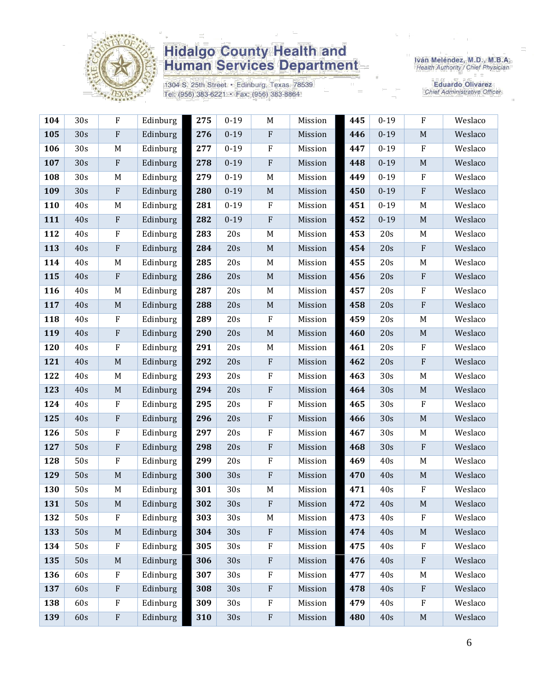

1304 S. 25th Street · Edinburg, Texas 78539 Tel: (956) 383-6221 · Fax: (956) 383-8864

Iván Meléndez, M.D., M.B.A.<br>Health Authority / Chief Physician

**Eduardo Olivarez** Chief Administrative Officer

| 104 | 30s | ${\bf F}$                 | Edinburg | 275 | $0 - 19$ | M           | Mission | 445 | $0 - 19$ | $\rm F$                   | Weslaco |
|-----|-----|---------------------------|----------|-----|----------|-------------|---------|-----|----------|---------------------------|---------|
| 105 | 30s | $\boldsymbol{\mathrm{F}}$ | Edinburg | 276 | $0 - 19$ | ${\bf F}$   | Mission | 446 | $0 - 19$ | $\mathbf M$               | Weslaco |
| 106 | 30s | M                         | Edinburg | 277 | $0 - 19$ | $\rm F$     | Mission | 447 | $0 - 19$ | $\mathbf F$               | Weslaco |
| 107 | 30s | ${\bf F}$                 | Edinburg | 278 | $0 - 19$ | $\rm F$     | Mission | 448 | $0 - 19$ | $\mathbf M$               | Weslaco |
| 108 | 30s | M                         | Edinburg | 279 | $0 - 19$ | $\mathbf M$ | Mission | 449 | $0 - 19$ | ${\bf F}$                 | Weslaco |
| 109 | 30s | $\boldsymbol{\mathrm{F}}$ | Edinburg | 280 | $0 - 19$ | $\mathbf M$ | Mission | 450 | $0 - 19$ | $\rm F$                   | Weslaco |
| 110 | 40s | M                         | Edinburg | 281 | $0 - 19$ | $\rm F$     | Mission | 451 | $0 - 19$ | M                         | Weslaco |
| 111 | 40s | $\boldsymbol{\mathrm{F}}$ | Edinburg | 282 | $0 - 19$ | $\rm F$     | Mission | 452 | $0 - 19$ | $\mathbf M$               | Weslaco |
| 112 | 40s | $\rm F$                   | Edinburg | 283 | 20s      | M           | Mission | 453 | 20s      | M                         | Weslaco |
| 113 | 40s | ${\bf F}$                 | Edinburg | 284 | 20s      | $\mathbf M$ | Mission | 454 | 20s      | $\boldsymbol{\mathrm{F}}$ | Weslaco |
| 114 | 40s | M                         | Edinburg | 285 | 20s      | $\mathbf M$ | Mission | 455 | 20s      | M                         | Weslaco |
| 115 | 40s | $\boldsymbol{\mathrm{F}}$ | Edinburg | 286 | 20s      | $\mathbf M$ | Mission | 456 | 20s      | $\rm F$                   | Weslaco |
| 116 | 40s | M                         | Edinburg | 287 | 20s      | M           | Mission | 457 | 20s      | $\rm F$                   | Weslaco |
| 117 | 40s | $\mathbf M$               | Edinburg | 288 | 20s      | $\mathbf M$ | Mission | 458 | 20s      | $\rm F$                   | Weslaco |
| 118 | 40s | $\rm F$                   | Edinburg | 289 | 20s      | ${\bf F}$   | Mission | 459 | 20s      | M                         | Weslaco |
| 119 | 40s | ${\bf F}$                 | Edinburg | 290 | 20s      | $\mathbf M$ | Mission | 460 | 20s      | $\mathbf M$               | Weslaco |
| 120 | 40s | $\rm F$                   | Edinburg | 291 | 20s      | M           | Mission | 461 | 20s      | $\rm F$                   | Weslaco |
| 121 | 40s | $\mathbf M$               | Edinburg | 292 | 20s      | $\rm F$     | Mission | 462 | 20s      | $\rm F$                   | Weslaco |
| 122 | 40s | M                         | Edinburg | 293 | 20s      | $\rm F$     | Mission | 463 | 30s      | M                         | Weslaco |
| 123 | 40s | $\mathbf M$               | Edinburg | 294 | 20s      | ${\bf F}$   | Mission | 464 | 30s      | $\mathbf M$               | Weslaco |
| 124 | 40s | $\rm F$                   | Edinburg | 295 | 20s      | ${\bf F}$   | Mission | 465 | 30s      | ${\bf F}$                 | Weslaco |
| 125 | 40s | $\boldsymbol{\mathrm{F}}$ | Edinburg | 296 | 20s      | ${\bf F}$   | Mission | 466 | 30s      | $\mathbf M$               | Weslaco |
| 126 | 50s | $\rm F$                   | Edinburg | 297 | 20s      | $\rm F$     | Mission | 467 | 30s      | $\mathbf M$               | Weslaco |
| 127 | 50s | $\rm F$                   | Edinburg | 298 | 20s      | ${\bf F}$   | Mission | 468 | 30s      | $\boldsymbol{\mathrm{F}}$ | Weslaco |
| 128 | 50s | $\rm F$                   | Edinburg | 299 | 20s      | ${\bf F}$   | Mission | 469 | 40s      | M                         | Weslaco |
| 129 | 50s | $\mathbf M$               | Edinburg | 300 | 30s      | ${\bf F}$   | Mission | 470 | 40s      | $\mathbf M$               | Weslaco |
| 130 | 50s | M                         | Edinburg | 301 | 30s      | M           | Mission | 471 | 40s      | $\rm F$                   | Weslaco |
| 131 | 50s | $\mathbf M$               | Edinburg | 302 | 30s      | ${\bf F}$   | Mission | 472 | 40s      | M                         | Weslaco |
| 132 | 50s | $\rm F$                   | Edinburg | 303 | 30s      | M           | Mission | 473 | 40s      | $_{\rm F}$                | Weslaco |
| 133 | 50s | $\mathbf M$               | Edinburg | 304 | 30s      | ${\bf F}$   | Mission | 474 | 40s      | $\mathbf M$               | Weslaco |
| 134 | 50s | $\rm F$                   | Edinburg | 305 | 30s      | ${\bf F}$   | Mission | 475 | 40s      | $\mathbf F$               | Weslaco |
| 135 | 50s | $\mathbf M$               | Edinburg | 306 | 30s      | $\rm F$     | Mission | 476 | 40s      | $\rm F$                   | Weslaco |
| 136 | 60s | $\rm F$                   | Edinburg | 307 | 30s      | $\rm F$     | Mission | 477 | 40s      | M                         | Weslaco |
| 137 | 60s | ${\bf F}$                 | Edinburg | 308 | 30s      | ${\bf F}$   | Mission | 478 | 40s      | $\boldsymbol{\mathrm{F}}$ | Weslaco |
| 138 | 60s | $\rm F$                   | Edinburg | 309 | 30s      | ${\bf F}$   | Mission | 479 | 40s      | F                         | Weslaco |
| 139 | 60s | $\boldsymbol{\mathrm{F}}$ | Edinburg | 310 | 30s      | ${\bf F}$   | Mission | 480 | 40s      | $\mathbf M$               | Weslaco |